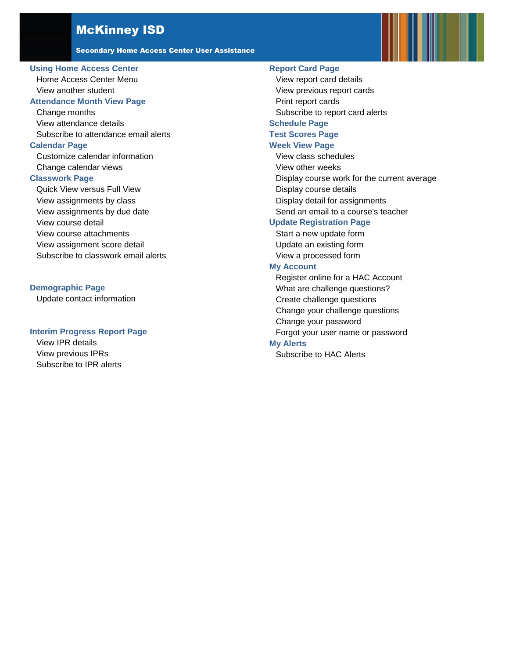### McKinney ISD

Secondary Home Access Center User Assistance

#### **[Using Home Access Center](#page-1-0)**

[Home Access Center Menu](#page-1-1) [View another student](#page-3-0)

#### **[Attendance Month View Page](#page-4-0)**

[Change months](#page-4-1) [View attendance details](#page-4-2) [Subscribe to attendance email alerts](#page-4-3)

#### **[Calendar Page](#page-5-0)**

[Customize calendar information](#page-5-1) [Change calendar views](#page-5-2)

#### **[Classwork Page](#page-6-0)**

[Quick View versus Full View](#page-6-1) [View assignments by class](#page-6-2) [View assignments by due date](#page-6-3) [View course detail](#page-6-4) [View course attachments](#page-6-5) [View assignment score detail](#page-6-6) [Subscribe to classwork email alerts](#page-7-0)

#### **[Demographic Page](#page-8-0)**

[Update contact information](#page-8-1)

#### **[Interim Progress Report Page](#page-9-0)**

[View IPR details](#page-9-1) [View previous IPRs](#page-9-2) [Subscribe to IPR alerts](#page-9-3)

### **[Report Card Page](#page-10-0)**

[View report card details](#page-10-1) [View previous report cards](#page-10-2) [Print report cards](#page-10-3) [Subscribe to report card alerts](#page-10-4) **[Schedule Page](#page-10-3) [Test Scores Page](#page-12-0) [Week View Page](#page-13-0)** [View class schedules](#page-13-1) [View other weeks](#page-13-2) [Display course work for the current average](#page-13-3) [Display course details](#page-13-4) [Display detail for assignments](#page-13-5) [Send an email to a course's teacher](#page-14-0) **[Update Registration Page](#page-15-0)** [Start a new update form](#page-15-1)

[Update an existing form](#page-15-2) [View a processed form](#page-15-3)

#### **[My Account](#page-16-0)**

[Register online for a HAC](#page-16-1) Account [What are challenge questions?](#page-16-2) [Create challenge questions](#page-16-3) [Change your challenge questions](#page-17-0) [Change your password](#page-17-1) [Forgot your user name or password](#page-17-2) **[My Alerts](#page-19-0)**

[Subscribe to HAC Alerts](#page-19-1)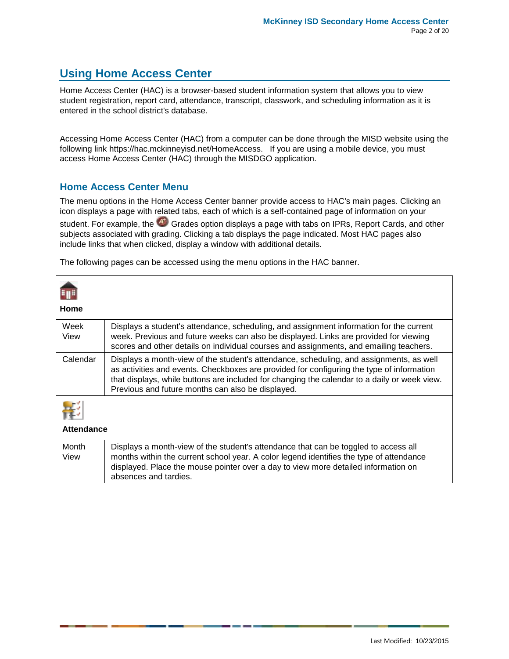## <span id="page-1-0"></span>**Using Home Access Center**

Home Access Center (HAC) is a browser-based student information system that allows you to view student registration, report card, attendance, transcript, classwork, and scheduling information as it is entered in the school district's database.

Accessing Home Access Center (HAC) from a computer can be done through the MISD website using the following link https://hac.mckinneyisd.net/HomeAccess. If you are using a mobile device, you must access Home Access Center (HAC) through the MISDGO application.

### <span id="page-1-1"></span>**Home Access Center Menu**

The menu options in the Home Access Center banner provide access to HAC's main pages. Clicking an icon displays a page with related tabs, each of which is a self-contained page of information on your

student. For example, the Grades option displays a page with tabs on IPRs, Report Cards, and other subjects associated with grading. Clicking a tab displays the page indicated. Most HAC pages also include links that when clicked, display a window with additional details.

The following pages can be accessed using the menu options in the HAC banner.

| Home          |                                                                                                                                                                                                                                                                                                                                           |
|---------------|-------------------------------------------------------------------------------------------------------------------------------------------------------------------------------------------------------------------------------------------------------------------------------------------------------------------------------------------|
| Week<br>View  | Displays a student's attendance, scheduling, and assignment information for the current<br>week. Previous and future weeks can also be displayed. Links are provided for viewing<br>scores and other details on individual courses and assignments, and emailing teachers.                                                                |
| Calendar      | Displays a month-view of the student's attendance, scheduling, and assignments, as well<br>as activities and events. Checkboxes are provided for configuring the type of information<br>that displays, while buttons are included for changing the calendar to a daily or week view.<br>Previous and future months can also be displayed. |
| Attendance    |                                                                                                                                                                                                                                                                                                                                           |
| Month<br>View | Displays a month-view of the student's attendance that can be toggled to access all<br>months within the current school year. A color legend identifies the type of attendance<br>displayed. Place the mouse pointer over a day to view more detailed information on<br>absences and tardies.                                             |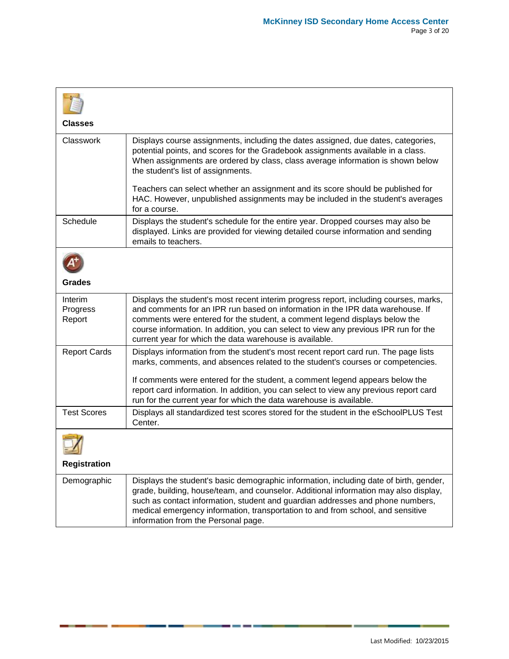| Classes                       |                                                                                                                                                                                                                                                                                                                                                                                                          |  |
|-------------------------------|----------------------------------------------------------------------------------------------------------------------------------------------------------------------------------------------------------------------------------------------------------------------------------------------------------------------------------------------------------------------------------------------------------|--|
| Classwork                     | Displays course assignments, including the dates assigned, due dates, categories,<br>potential points, and scores for the Gradebook assignments available in a class.<br>When assignments are ordered by class, class average information is shown below<br>the student's list of assignments.                                                                                                           |  |
|                               | Teachers can select whether an assignment and its score should be published for<br>HAC. However, unpublished assignments may be included in the student's averages<br>for a course.                                                                                                                                                                                                                      |  |
| Schedule                      | Displays the student's schedule for the entire year. Dropped courses may also be<br>displayed. Links are provided for viewing detailed course information and sending<br>emails to teachers.                                                                                                                                                                                                             |  |
|                               |                                                                                                                                                                                                                                                                                                                                                                                                          |  |
| <b>Grades</b>                 |                                                                                                                                                                                                                                                                                                                                                                                                          |  |
| Interim<br>Progress<br>Report | Displays the student's most recent interim progress report, including courses, marks,<br>and comments for an IPR run based on information in the IPR data warehouse. If<br>comments were entered for the student, a comment legend displays below the<br>course information. In addition, you can select to view any previous IPR run for the<br>current year for which the data warehouse is available. |  |
| <b>Report Cards</b>           | Displays information from the student's most recent report card run. The page lists<br>marks, comments, and absences related to the student's courses or competencies.                                                                                                                                                                                                                                   |  |
|                               | If comments were entered for the student, a comment legend appears below the<br>report card information. In addition, you can select to view any previous report card<br>run for the current year for which the data warehouse is available.                                                                                                                                                             |  |
| <b>Test Scores</b>            | Displays all standardized test scores stored for the student in the eSchoolPLUS Test<br>Center.                                                                                                                                                                                                                                                                                                          |  |
|                               |                                                                                                                                                                                                                                                                                                                                                                                                          |  |
| <b>Registration</b>           |                                                                                                                                                                                                                                                                                                                                                                                                          |  |
| Demographic                   | Displays the student's basic demographic information, including date of birth, gender,<br>grade, building, house/team, and counselor. Additional information may also display,<br>such as contact information, student and guardian addresses and phone numbers,<br>medical emergency information, transportation to and from school, and sensitive<br>information from the Personal page.               |  |

 $\overline{\phantom{a}}$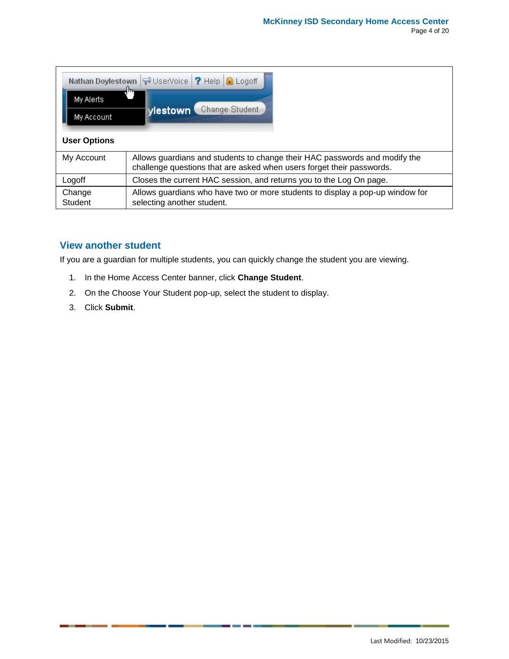| Nathan Doylestown VI UserVoice ? Help C Logoff<br>m<br>My Alerts<br>Change Student<br>vlestown \<br>My Account<br><b>User Options</b> |                                                                                                                                                     |  |
|---------------------------------------------------------------------------------------------------------------------------------------|-----------------------------------------------------------------------------------------------------------------------------------------------------|--|
| My Account                                                                                                                            | Allows guardians and students to change their HAC passwords and modify the<br>challenge questions that are asked when users forget their passwords. |  |
| Logoff                                                                                                                                | Closes the current HAC session, and returns you to the Log On page.                                                                                 |  |
| Change<br>Student                                                                                                                     | Allows guardians who have two or more students to display a pop-up window for<br>selecting another student.                                         |  |

### <span id="page-3-0"></span>**View another student**

If you are a guardian for multiple students, you can quickly change the student you are viewing.

- 1. In the Home Access Center banner, click **Change Student**.
- 2. On the Choose Your Student pop-up, select the student to display.
- 3. Click **Submit**.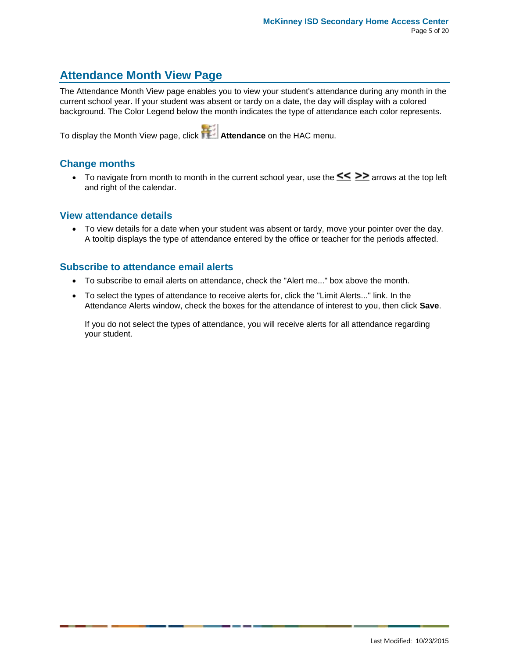## <span id="page-4-0"></span>**Attendance Month View Page**

The Attendance Month View page enables you to view your student's attendance during any month in the current school year. If your student was absent or tardy on a date, the day will display with a colored background. The Color Legend below the month indicates the type of attendance each color represents.

To display the Month View page, click **Attendance** on the HAC menu.

### <span id="page-4-1"></span>**Change months**

To navigate from month to month in the current school year, use the  $\leq \geq \geq$  arrows at the top left and right of the calendar.

### <span id="page-4-2"></span>**View attendance details**

 To view details for a date when your student was absent or tardy, move your pointer over the day. A tooltip displays the type of attendance entered by the office or teacher for the periods affected.

### <span id="page-4-3"></span>**Subscribe to attendance email alerts**

- To subscribe to email alerts on attendance, check the "Alert me..." box above the month.
- To select the types of attendance to receive alerts for, click the "Limit Alerts..." link. In the Attendance Alerts window, check the boxes for the attendance of interest to you, then click **Save**.

If you do not select the types of attendance, you will receive alerts for all attendance regarding your student.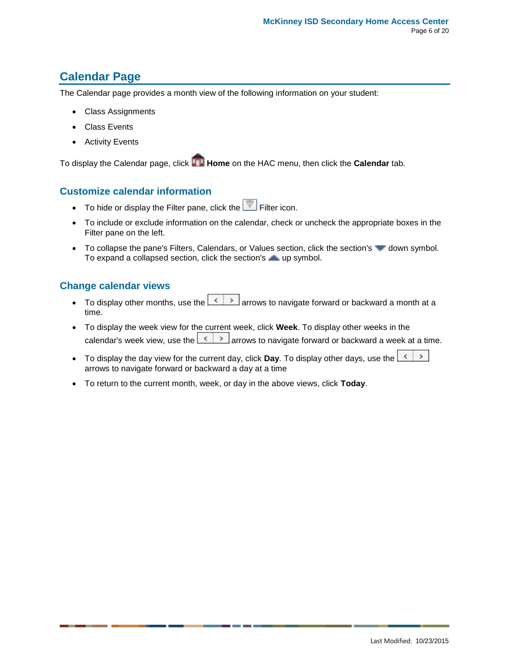# <span id="page-5-0"></span>**Calendar Page**

The Calendar page provides a month view of the following information on your student:

- Class Assignments
- Class Events
- Activity Events

To display the Calendar page, click **Home** on the HAC menu, then click the **Calendar** tab.

### <span id="page-5-1"></span>**Customize calendar information**

- $\bullet$  To hide or display the Filter pane, click the  $\blacksquare$  Filter icon.
- To include or exclude information on the calendar, check or uncheck the appropriate boxes in the Filter pane on the left.
- To collapse the pane's Filters, Calendars, or Values section, click the section's down symbol. To expand a collapsed section, click the section's up symbol.

### <span id="page-5-2"></span>**Change calendar views**

- To display other months, use the  $\leq$   $\geq$  arrows to navigate forward or backward a month at a time.
- To display the week view for the current week, click **Week**. To display other weeks in the calendar's week view, use the  $\leq$   $\geq$  arrows to navigate forward or backward a week at a time.
- $\mathcal{P}^{\mathcal{P}}$  To display the day view for the current day, click **Day**. To display other days, use the  $\leq$ arrows to navigate forward or backward a day at a time
- To return to the current month, week, or day in the above views, click **Today**.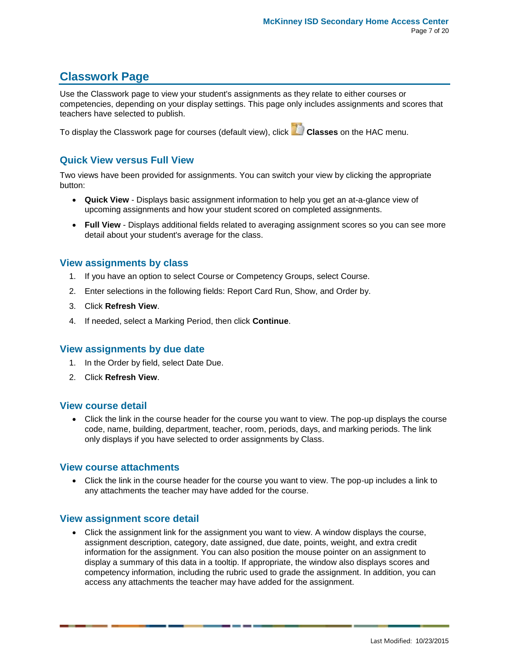# <span id="page-6-0"></span>**Classwork Page**

Use the Classwork page to view your student's assignments as they relate to either courses or competencies, depending on your display settings. This page only includes assignments and scores that teachers have selected to publish.

To display the Classwork page for courses (default view), click **Classes** on the HAC menu.

### <span id="page-6-1"></span>**Quick View versus Full View**

Two views have been provided for assignments. You can switch your view by clicking the appropriate button:

- **Quick View** Displays basic assignment information to help you get an at-a-glance view of upcoming assignments and how your student scored on completed assignments.
- **Full View** Displays additional fields related to averaging assignment scores so you can see more detail about your student's average for the class.

### <span id="page-6-2"></span>**View assignments by class**

- 1. If you have an option to select Course or Competency Groups, select Course.
- 2. Enter selections in the following fields: Report Card Run, Show, and Order by.
- 3. Click **Refresh View**.
- 4. If needed, select a Marking Period, then click **Continue**.

### <span id="page-6-3"></span>**View assignments by due date**

- 1. In the Order by field, select Date Due.
- 2. Click **Refresh View**.

### <span id="page-6-4"></span>**View course detail**

 Click the link in the course header for the course you want to view. The pop-up displays the course code, name, building, department, teacher, room, periods, days, and marking periods. The link only displays if you have selected to order assignments by Class.

### <span id="page-6-5"></span>**View course attachments**

 Click the link in the course header for the course you want to view. The pop-up includes a link to any attachments the teacher may have added for the course.

### <span id="page-6-6"></span>**View assignment score detail**

 Click the assignment link for the assignment you want to view. A window displays the course, assignment description, category, date assigned, due date, points, weight, and extra credit information for the assignment. You can also position the mouse pointer on an assignment to display a summary of this data in a tooltip. If appropriate, the window also displays scores and competency information, including the rubric used to grade the assignment. In addition, you can access any attachments the teacher may have added for the assignment.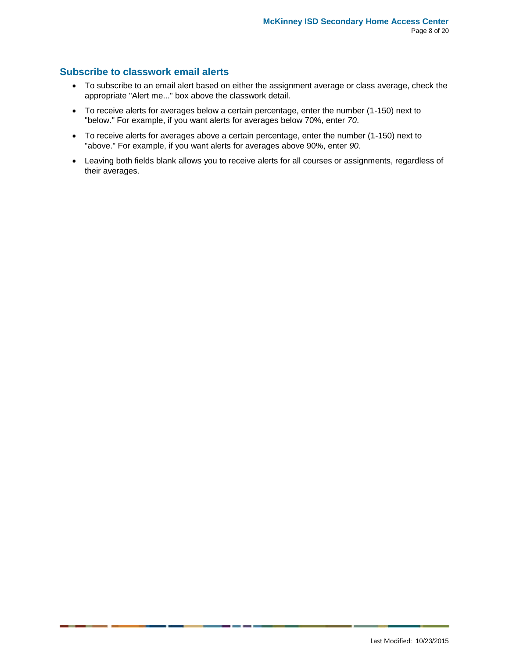### <span id="page-7-0"></span>**Subscribe to classwork email alerts**

- To subscribe to an email alert based on either the assignment average or class average, check the appropriate "Alert me..." box above the classwork detail.
- To receive alerts for averages below a certain percentage, enter the number (1-150) next to "below." For example, if you want alerts for averages below 70%, enter *70*.
- To receive alerts for averages above a certain percentage, enter the number (1-150) next to "above." For example, if you want alerts for averages above 90%, enter *90*.
- Leaving both fields blank allows you to receive alerts for all courses or assignments, regardless of their averages.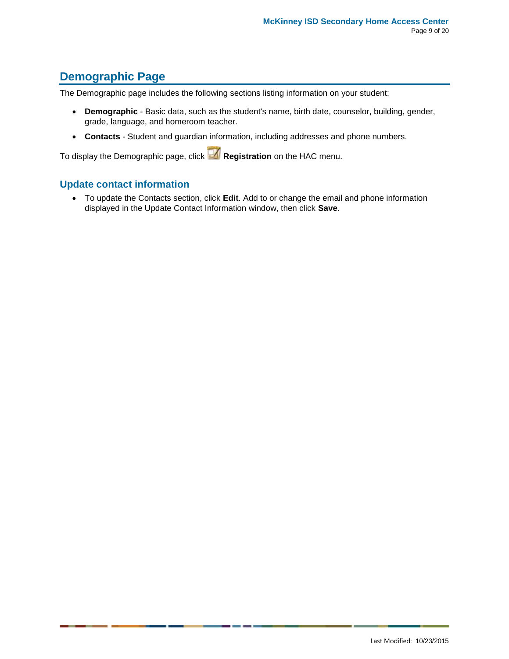# <span id="page-8-0"></span>**Demographic Page**

The Demographic page includes the following sections listing information on your student:

- **Demographic** Basic data, such as the student's name, birth date, counselor, building, gender, grade, language, and homeroom teacher.
- **Contacts** Student and guardian information, including addresses and phone numbers.

To display the Demographic page, click **Registration** on the HAC menu.

### <span id="page-8-1"></span>**Update contact information**

 To update the Contacts section, click **Edit**. Add to or change the email and phone information displayed in the Update Contact Information window, then click **Save**.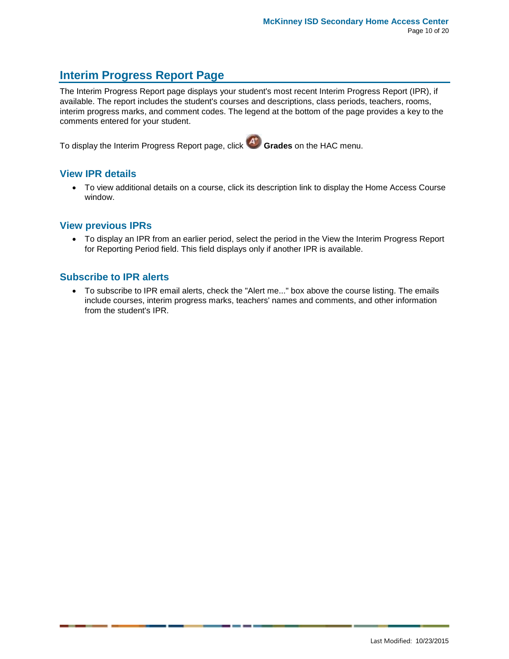# <span id="page-9-0"></span>**Interim Progress Report Page**

The Interim Progress Report page displays your student's most recent Interim Progress Report (IPR), if available. The report includes the student's courses and descriptions, class periods, teachers, rooms, interim progress marks, and comment codes. The legend at the bottom of the page provides a key to the comments entered for your student.

To display the Interim Progress Report page, click **Grades** on the HAC menu.

### <span id="page-9-1"></span>**View IPR details**

 To view additional details on a course, click its description link to display the Home Access Course window.

### <span id="page-9-2"></span>**View previous IPRs**

 To display an IPR from an earlier period, select the period in the View the Interim Progress Report for Reporting Period field. This field displays only if another IPR is available.

### <span id="page-9-3"></span>**Subscribe to IPR alerts**

 To subscribe to IPR email alerts, check the "Alert me..." box above the course listing. The emails include courses, interim progress marks, teachers' names and comments, and other information from the student's IPR.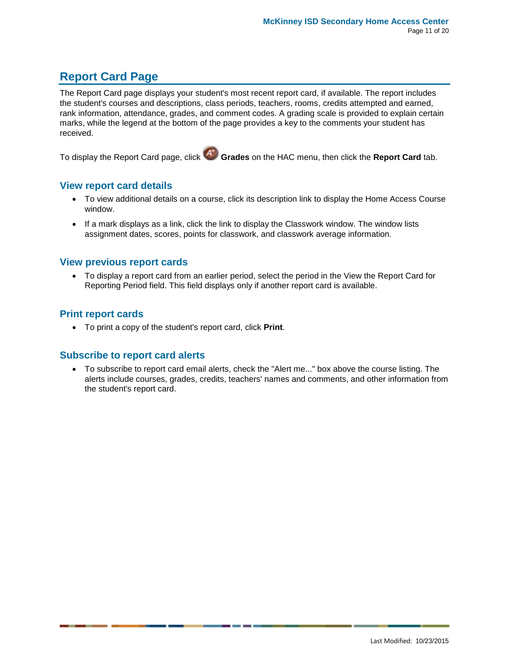# <span id="page-10-0"></span>**Report Card Page**

The Report Card page displays your student's most recent report card, if available. The report includes the student's courses and descriptions, class periods, teachers, rooms, credits attempted and earned, rank information, attendance, grades, and comment codes. A grading scale is provided to explain certain marks, while the legend at the bottom of the page provides a key to the comments your student has received.

To display the Report Card page, click **Grades** on the HAC menu, then click the **Report Card** tab.

### <span id="page-10-1"></span>**View report card details**

- To view additional details on a course, click its description link to display the Home Access Course window.
- If a mark displays as a link, click the link to display the Classwork window. The window lists assignment dates, scores, points for classwork, and classwork average information.

### <span id="page-10-2"></span>**View previous report cards**

 To display a report card from an earlier period, select the period in the View the Report Card for Reporting Period field. This field displays only if another report card is available.

### <span id="page-10-3"></span>**Print report cards**

To print a copy of the student's report card, click **Print**.

### <span id="page-10-4"></span>**Subscribe to report card alerts**

 To subscribe to report card email alerts, check the "Alert me..." box above the course listing. The alerts include courses, grades, credits, teachers' names and comments, and other information from the student's report card.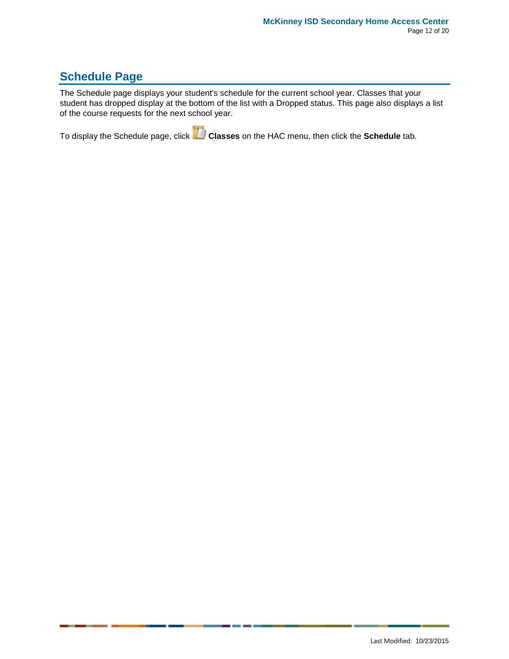# **Schedule Page**

The Schedule page displays your student's schedule for the current school year. Classes that your student has dropped display at the bottom of the list with a Dropped status. This page also displays a list of the course requests for the next school year.

To display the Schedule page, click **Classes** on the HAC menu, then click the **Schedule** tab.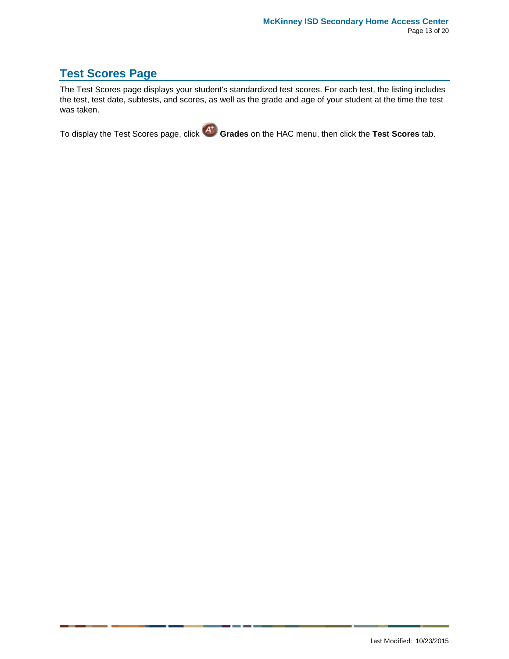### <span id="page-12-0"></span>**Test Scores Page**

The Test Scores page displays your student's standardized test scores. For each test, the listing includes the test, test date, subtests, and scores, as well as the grade and age of your student at the time the test was taken.

To display the Test Scores page, click **Grades** on the HAC menu, then click the **Test Scores** tab.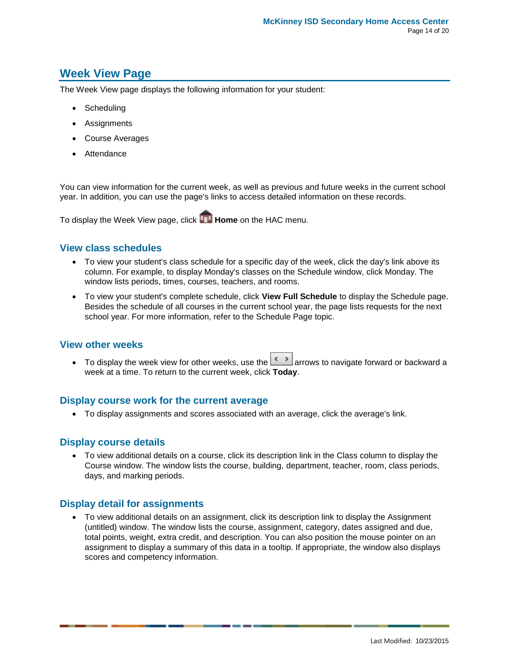### <span id="page-13-0"></span>**Week View Page**

The Week View page displays the following information for your student:

- Scheduling
- Assignments
- Course Averages
- Attendance

You can view information for the current week, as well as previous and future weeks in the current school year. In addition, you can use the page's links to access detailed information on these records.

To display the Week View page, click **Home** on the HAC menu.

### <span id="page-13-1"></span>**View class schedules**

- To view your student's class schedule for a specific day of the week, click the day's link above its column. For example, to display Monday's classes on the Schedule window, click Monday. The window lists periods, times, courses, teachers, and rooms.
- To view your student's complete schedule, click **View Full Schedule** to display the Schedule page. Besides the schedule of all courses in the current school year, the page lists requests for the next school year. For more information, refer to the Schedule Page topic.

### <span id="page-13-2"></span>**View other weeks**

To display the week view for other weeks, use the **arrows** to navigate forward or backward a week at a time. To return to the current week, click **Today**.

#### <span id="page-13-3"></span>**Display course work for the current average**

To display assignments and scores associated with an average, click the average's link.

#### <span id="page-13-4"></span>**Display course details**

 To view additional details on a course, click its description link in the Class column to display the Course window. The window lists the course, building, department, teacher, room, class periods, days, and marking periods.

### <span id="page-13-5"></span>**Display detail for assignments**

 To view additional details on an assignment, click its description link to display the Assignment (untitled) window. The window lists the course, assignment, category, dates assigned and due, total points, weight, extra credit, and description. You can also position the mouse pointer on an assignment to display a summary of this data in a tooltip. If appropriate, the window also displays scores and competency information.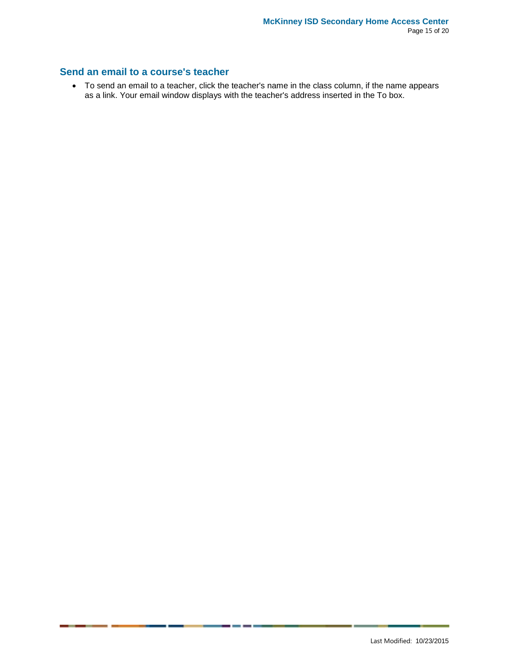### <span id="page-14-0"></span>**Send an email to a course's teacher**

 To send an email to a teacher, click the teacher's name in the class column, if the name appears as a link. Your email window displays with the teacher's address inserted in the To box.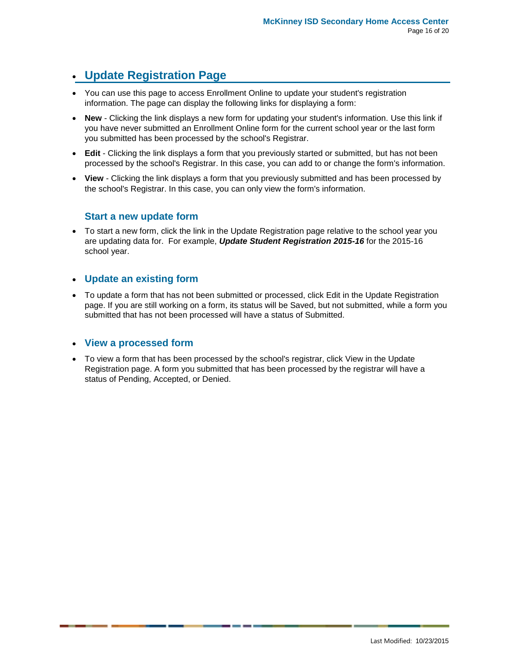# <span id="page-15-0"></span>**Update Registration Page**

- You can use this page to access Enrollment Online to update your student's registration information. The page can display the following links for displaying a form:
- **New** Clicking the link displays a new form for updating your student's information. Use this link if you have never submitted an Enrollment Online form for the current school year or the last form you submitted has been processed by the school's Registrar.
- **Edit** Clicking the link displays a form that you previously started or submitted, but has not been processed by the school's Registrar. In this case, you can add to or change the form's information.
- <span id="page-15-1"></span> **View** - Clicking the link displays a form that you previously submitted and has been processed by the school's Registrar. In this case, you can only view the form's information.

### **Start a new update form**

 To start a new form, click the link in the Update Registration page relative to the school year you are updating data for. For example, *Update Student Registration 2015-16* for the 2015-16 school year.

### <span id="page-15-2"></span>**Update an existing form**

 To update a form that has not been submitted or processed, click Edit in the Update Registration page. If you are still working on a form, its status will be Saved, but not submitted, while a form you submitted that has not been processed will have a status of Submitted.

#### <span id="page-15-3"></span>**View a processed form**

 To view a form that has been processed by the school's registrar, click View in the Update Registration page. A form you submitted that has been processed by the registrar will have a status of Pending, Accepted, or Denied.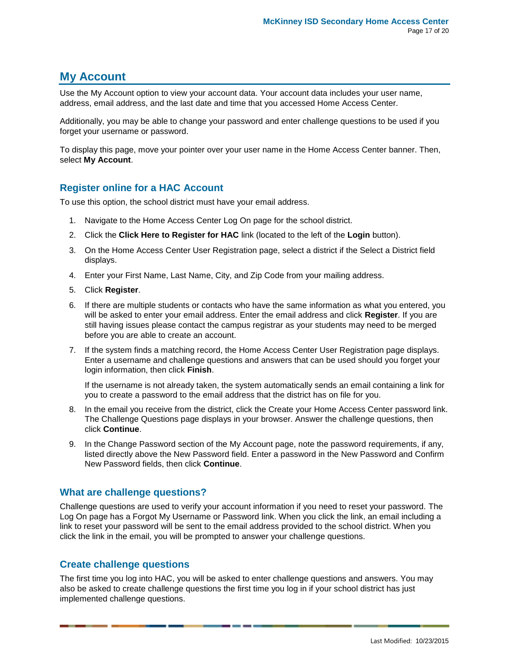### <span id="page-16-0"></span>**My Account**

Use the My Account option to view your account data. Your account data includes your user name, address, email address, and the last date and time that you accessed Home Access Center.

Additionally, you may be able to change your password and enter challenge questions to be used if you forget your username or password.

To display this page, move your pointer over your user name in the Home Access Center banner. Then, select **My Account**.

### <span id="page-16-1"></span>**Register online for a HAC Account**

To use this option, the school district must have your email address.

- 1. Navigate to the Home Access Center Log On page for the school district.
- 2. Click the **Click Here to Register for HAC** link (located to the left of the **Login** button).
- 3. On the Home Access Center User Registration page, select a district if the Select a District field displays.
- 4. Enter your First Name, Last Name, City, and Zip Code from your mailing address.
- 5. Click **Register**.
- 6. If there are multiple students or contacts who have the same information as what you entered, you will be asked to enter your email address. Enter the email address and click **Register**. If you are still having issues please contact the campus registrar as your students may need to be merged before you are able to create an account.
- 7. If the system finds a matching record, the Home Access Center User Registration page displays. Enter a username and challenge questions and answers that can be used should you forget your login information, then click **Finish**.

If the username is not already taken, the system automatically sends an email containing a link for you to create a password to the email address that the district has on file for you.

- 8. In the email you receive from the district, click the Create your Home Access Center password link. The Challenge Questions page displays in your browser. Answer the challenge questions, then click **Continue**.
- 9. In the Change Password section of the My Account page, note the password requirements, if any, listed directly above the New Password field. Enter a password in the New Password and Confirm New Password fields, then click **Continue**.

### <span id="page-16-2"></span>**What are challenge questions?**

Challenge questions are used to verify your account information if you need to reset your password. The Log On page has a Forgot My Username or Password link. When you click the link, an email including a link to reset your password will be sent to the email address provided to the school district. When you click the link in the email, you will be prompted to answer your challenge questions.

### <span id="page-16-3"></span>**Create challenge questions**

The first time you log into HAC, you will be asked to enter challenge questions and answers. You may also be asked to create challenge questions the first time you log in if your school district has just implemented challenge questions.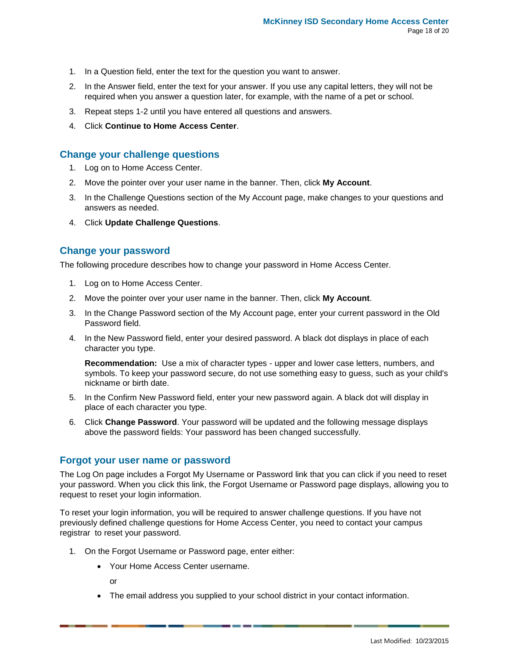- 1. In a Question field, enter the text for the question you want to answer.
- 2. In the Answer field, enter the text for your answer. If you use any capital letters, they will not be required when you answer a question later, for example, with the name of a pet or school.
- 3. Repeat steps 1-2 until you have entered all questions and answers.
- 4. Click **Continue to Home Access Center**.

### <span id="page-17-0"></span>**Change your challenge questions**

- 1. Log on to Home Access Center.
- 2. Move the pointer over your user name in the banner. Then, click **My Account**.
- 3. In the Challenge Questions section of the My Account page, make changes to your questions and answers as needed.
- 4. Click **Update Challenge Questions**.

### <span id="page-17-1"></span>**Change your password**

The following procedure describes how to change your password in Home Access Center.

- 1. Log on to Home Access Center.
- 2. Move the pointer over your user name in the banner. Then, click **My Account**.
- 3. In the Change Password section of the My Account page, enter your current password in the Old Password field.
- 4. In the New Password field, enter your desired password. A black dot displays in place of each character you type.

**Recommendation:** Use a mix of character types - upper and lower case letters, numbers, and symbols. To keep your password secure, do not use something easy to guess, such as your child's nickname or birth date.

- 5. In the Confirm New Password field, enter your new password again. A black dot will display in place of each character you type.
- 6. Click **Change Password**. Your password will be updated and the following message displays above the password fields: Your password has been changed successfully.

#### <span id="page-17-2"></span>**Forgot your user name or password**

The Log On page includes a Forgot My Username or Password link that you can click if you need to reset your password. When you click this link, the Forgot Username or Password page displays, allowing you to request to reset your login information.

To reset your login information, you will be required to answer challenge questions. If you have not previously defined challenge questions for Home Access Center, you need to contact your campus registrar to reset your password.

- 1. On the Forgot Username or Password page, enter either:
	- Your Home Access Center username.

or

The email address you supplied to your school district in your contact information.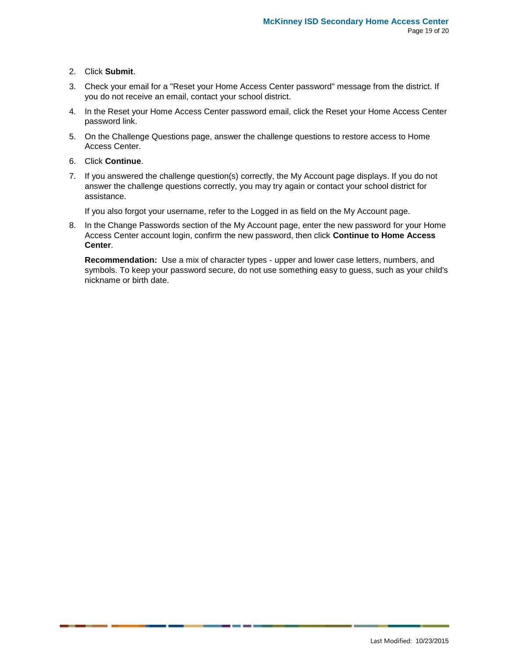#### 2. Click **Submit**.

- 3. Check your email for a "Reset your Home Access Center password" message from the district. If you do not receive an email, contact your school district.
- 4. In the Reset your Home Access Center password email, click the Reset your Home Access Center password link.
- 5. On the Challenge Questions page, answer the challenge questions to restore access to Home Access Center.
- 6. Click **Continue**.
- 7. If you answered the challenge question(s) correctly, the My Account page displays. If you do not answer the challenge questions correctly, you may try again or contact your school district for assistance.

If you also forgot your username, refer to the Logged in as field on the My Account page.

8. In the Change Passwords section of the My Account page, enter the new password for your Home Access Center account login, confirm the new password, then click **Continue to Home Access Center**.

**Recommendation:** Use a mix of character types - upper and lower case letters, numbers, and symbols. To keep your password secure, do not use something easy to guess, such as your child's nickname or birth date.